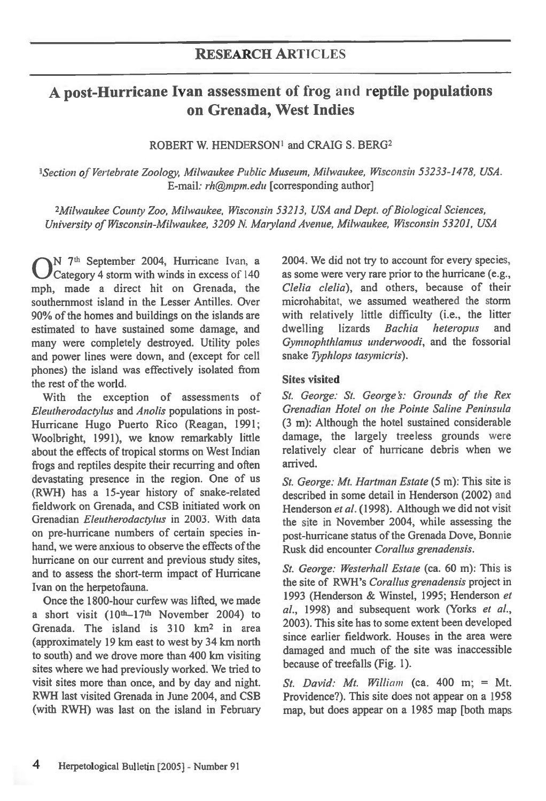# **A post-Hurricane Ivan assessment of frog and reptile populations on Grenada, West Indies**

ROBERT W. HENDERSON' and CRAIG S. BERG2

*'Section of Vertebrate Zoology, Milwaukee Public Museum, Milwaukee, Wisconsin 53233-1478, USA. E-mail: rh@mpm.edu* [corresponding author]

*<sup>2</sup>Milwaukee County Zoo, Milwaukee, Wisconsin 53213, USA and Dept. of Biological Sciences, University of Wisconsin-Milwaukee, 3209 N. Maryland Avenue, Milwaukee, Wisconsin 53201, USA* 

**O**<sup>N</sup> <sup>7th</sup> September 2004, Hurricane Ivan, a Category 4 storm with winds in excess of 140 mph, made a direct hit on Grenada, the *N 7th* September 2004, Hurricane Ivan, a Category 4 storm with winds in excess of 140 southernmost island in the Lesser Antilles. Over 90% of the homes and buildings on the islands are estimated to have sustained some damage, and many were completely destroyed. Utility poles and power lines were down, and (except for cell phones) the island was effectively isolated from the rest of the world.

With the exception of assessments of *Eleutherodactylus* and *Anolis* populations in post-Hurricane Hugo Puerto Rico (Reagan, 1991; Woolbright, 1991), we know remarkably little about the effects of tropical storms on West Indian frogs and reptiles despite their recurring and often devastating presence in the region. One of us (RWH) has a 15-year history of snake-related fieldwork on Grenada, and CSB initiated work on Grenadian *Eleutherodactylus* in 2003. With data on pre-hurricane numbers of certain species inhand, we were anxious to observe the effects of the hurricane on our current and previous study sites, and to assess the short-term impact of Hurricane Ivan on the herpetofauna.

Once the 1800-hour curfew was lifted, we made a short visit (10th-17th November 2004) to Grenada. The island is  $310 \text{ km}^2$  in area (approximately 19 km east to west by 34 km north to south) and we drove more than 400 km visiting sites where we had previously worked. We tried to visit sites more than once, and by day and night. RWH last visited Grenada in June 2004, and CSB (with RWH) was last on the island in February 2004. We did not try to account for every species, as some were very rare prior to the hurricane (e.g., *Clelia Celia),* and others, because of their microhabitat, we assumed weathered the storm with relatively little difficulty (i.e., the litter dwelling lizards *Bachia heteropus* and dwelling lizards *Bachia heteropus* and *Gymnophthlamus underwoodi,* and the fossorial snake *Typhlops tasymicris).* 

#### **Sites visited**

*St. George: St. George's: Grounds of the Rex Grenadian Hotel on the Pointe Saline Peninsula*  (3 m): Although the hotel sustained considerable damage, the largely treeless grounds were relatively clear of hurricane debris when we arrived.

*St. George: Mt. Hartman Estate (5* m): This site is described in some detail in Henderson (2002) and Henderson et al. (1998). Although we did not visit the site in November 2004, while assessing the post-hurricane status of the Grenada Dove, Bonnie Rusk did encounter *Corallus grenadensis.* 

*St. George: Westerhall Estate (ca.* 60 m): This is the site of RWH's *Corallus grenadensis* project in 1993 (Henderson & Winstel, 1995; Henderson *et al.,* 1998) and subsequent work (Yorks *et al.,*  2003). This site has to some extent been developed since earlier fieldwork. Houses in the area were damaged and much of the site was inaccessible because of treefalls (Fig. 1).

*St. David: Mt. William* (ca. 400 m; = Mt. Providence?). This site does not appear on a 1958 map, but does appear on a 1985 map [both maps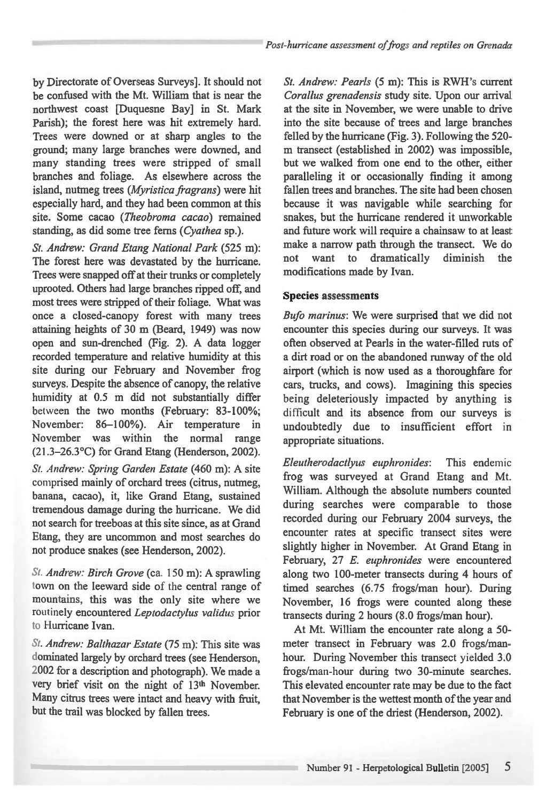by Directorate of Overseas Surveys]. It should not be confused with the Mt. William that is near the northwest coast [Duquesne Bay] in St. Mark Parish); the forest here was hit extremely hard. Trees were downed or at sharp angles to the ground; many large branches were downed, and many standing trees were stripped of small branches and foliage. As elsewhere across the island, nutmeg trees *(Myristica fragrans)* were hit especially hard, and they had been common at this site. Some cacao *(Theobroma cacao)* remained standing, as did some tree ferns *(Cyathea* sp.).

*St. Andrew: Grand Etang National Park* (525 m): The forest here was devastated by the hurricane. Trees were snapped off at their trunks or completely uprooted. Others had large branches ripped off, and most trees were stripped of their foliage. What was once a closed-canopy forest with many trees attaining heights of 30 m (Beard, 1949) was now open and sun-drenched (Fig. 2). A data logger recorded temperature and relative humidity at this site during our February and November frog surveys. Despite the absence of canopy, the relative humidity at 0.5 m did not substantially differ between the two months (February: 83-100%; November: 86-100%). Air temperature in November was within the normal range (21.3-26.3°C) for Grand Etang (Henderson, 2002). *St. Andrew: Spring Garden Estate* (460 m): A site comprised mainly of orchard trees (citrus, nutmeg,

banana, cacao), it, like Grand Etang, sustained tremendous damage during the hurricane. We did not search for treeboas at this site since, as at Grand Etang, they are uncommon and most searches do not produce snakes (see Henderson, 2002).

*St. Andrew: Birch Grove* (ca. 150 m): A sprawling town on the leeward side of the central range of mountains, this was the only site where we routinely encountered *Leptodactylus validus* prior to Hurricane Ivan.

*St. Andrew: Balthazar Estate (75* m): This site was dominated largely by orchard trees (see Henderson, 2002 for a description and photograph). We made a very brief visit on the night of 13<sup>th</sup> November. Many citrus trees were intact and heavy with fruit, but the trail was blocked by fallen trees.

*St. Andrew: Pearls (5* m): This is RWH's current *Corallus grenadensis* study site. Upon our arrival at the site in November, we were unable to drive into the site because of trees and large branches felled by the hurricane (Fig. 3). Following the 520 m transect (established in 2002) was impossible, but we walked from one end to the other, either paralleling it or occasionally finding it among fallen trees and branches. The site had been chosen because it was navigable while searching for snakes, but the hurricane rendered it unworkable and future work will require a chainsaw to at least make a narrow path through the transect. We do not want to dramatically diminish the modifications made by Ivan.

#### **Species assessments**

*Bufo marinus:* We were surprised that we did not encounter this species during our surveys. It was often observed at Pearls in the water-filled ruts of a dirt road or on the abandoned runway of the old airport (which is now used as a thoroughfare for cars, trucks, and cows). Imagining this species being deleteriously impacted by anything is difficult and its absence from our surveys is undoubtedly due to insufficient effort in appropriate situations.

*Eleutherodactlyus euphronides:* This endemic frog was surveyed at Grand Etang and Mt. William. Although the absolute numbers counted during searches were comparable to those recorded during our February 2004 surveys, the encounter rates at specific transect sites were slightly higher in November. At Grand Etang in February, 27 *E. euphronides* were encountered along two 100-meter transects during 4 hours of timed searches (6.75 frogs/man hour). During November, 16 frogs were counted along these transects during 2 hours (8.0 frogs/man hour).

At Mt. William the encounter rate along a 50 meter transect in February was 2.0 frogs/manhour. During November this transect yielded 3.0 frogs/man-hour during two 30-minute searches. This elevated encounter rate may be due to the fact that November is the wettest month of the year and February is one of the driest (Henderson, 2002).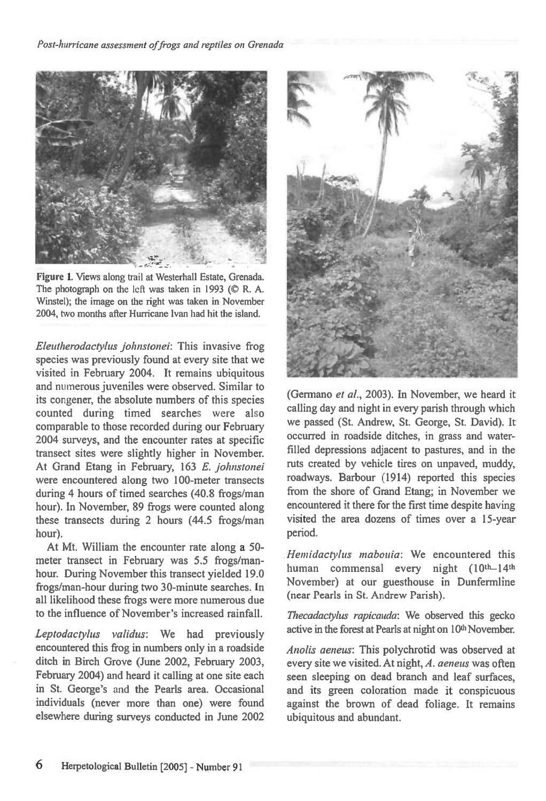

Figure 1. Views along trail at Westerhall Estate, Grenada. The photograph on the left was taken in 1993 ( $\oslash$  R. A. Winstel); the image on the right was taken in November 2004, two months after Hurricane Ivan had hit the island.

*Eleutherodactylus johnslonei:* This invasive frog species was previously found at every site that we visited in February 2004. It remains ubiquitous and numerous juveniles were observed. Similar to its congener, the absolute numbers of this species counted during timed searches were also comparable to those recorded during our February 2004 surveys, and the encounter rates at specific transect sites were slightly higher in November. At Grand Etang in February, 163 *E. johnstonei*  were encountered along two 100-meter transects during 4 hours of timed searches (40.8 frogs/man hour). In November, 89 frogs were counted along these transects during 2 hours (44.5 frogs/man hour).

At Mt. William the encounter rate along a 50 meter transect in February was 5.5 frogs/manhour. During November this transect yielded 19.0 frogs/man-hour during two 30-minute searches. In all likelihood these frogs were more numerous due to the influence of November's increased rainfall.

*Leptodactylus validus:* We had previously encountered this frog in numbers only in a roadside ditch in Birch Grove (June 2002, February 2003, February 2004) and heard it calling at one site each in St. George's and the Pearls area. Occasional individuals (never more than one) were found elsewhere during surveys conducted in June 2002



(Germano *et al.,* 2003). In November, we heard it calling day and night in every parish through which we passed (St. Andrew, St. George, St. David). It occurred in roadside ditches, in grass and waterfilled depressions adjacent to pastures, and in the ruts created by vehicle tires on unpaved, muddy, roadways. Barbour (1914) reported this species from the shore of Grand Etang; in November we encountered it there for the first time despite having visited the area dozens of times over a 15-year period.

*Hemidactyhts mabouia:* We encountered this human commensal every night (10th-14th November) at our guesthouse in Dunfermline (near Pearls in St. Andrew Parish).

*Thecadactylus rapicauda: We* observed this gecko active in the forest at Pearls at night on 10<sup>th</sup> November.

*Anolis aeneus:* This polychrotid was observed at every site we visited. At night, *A. aeneus* was often seen sleeping on dead branch and leaf surfaces, and its green coloration made it conspicuous against the brown of dead foliage. It remains ubiquitous and abundant.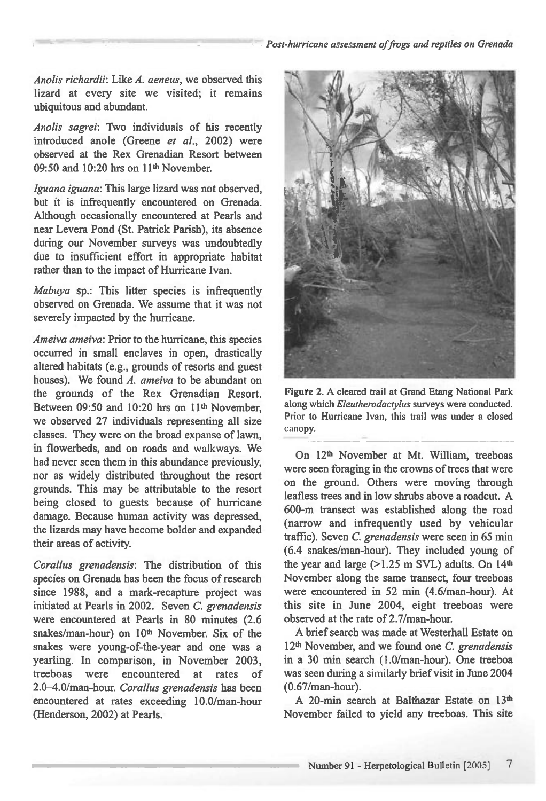Anolis richardii: Like *A.* aeneus, we observed this lizard at every site we visited; it remains ubiquitous and abundant.

Anolis sagrei: Two individuals of his recently introduced anole (Greene *et at.,* 2002) were observed at the Rex Grenadian Resort between 09:50 and 10:20 hrs on 11<sup>th</sup> November.

Iguana *iguana:* This large lizard was not observed, but it is infrequently encountered on Grenada. Although occasionally encountered at Pearls and near Levera Pond (St. Patrick Parish), its absence during our November surveys was undoubtedly due to insufficient effort in appropriate habitat rather than to the impact of Hurricane Ivan.

Mabuya sp.: This litter species is infrequently observed on Grenada. We assume that it was not severely impacted by the hurricane.

Ameiva ameiva: Prior to the hurricane, this species occurred in small enclaves in open, drastically altered habitats (e.g., grounds of resorts and guest houses). We found *A. ameiva* to be abundant on the grounds of the Rex Grenadian Resort. Between 09:50 and 10:20 hrs on 11<sup>th</sup> November, we observed 27 individuals representing all size classes. They were on the broad expanse of lawn, in flowerbeds, and on roads and walkways. We had never seen them in this abundance previously, nor as widely distributed throughout the resort grounds. This may be attributable to the resort being closed to guests because of hurricane damage. Because human activity was depressed, the lizards may have become bolder and expanded their areas of activity.

Corallus grenadensis: The distribution of this species on Grenada has been the focus of research since 1988, and a mark-recapture project was initiated at Pearls in 2002. Seven *C.* grenadensis were encountered at Pearls in 80 minutes (2.6 snakes/man-hour) on 10th November. Six of the snakes were young-of-the-year and one was a yearling. In comparison, in November 2003, treeboas were encountered at rates of 2.0-4.0/man-hour. Corallus grenadensis has been encountered at rates exceeding 10.0/man-hour (Henderson, 2002) at Pearls.



Figure 2. A cleared trail at Grand Etang National Park along which Eleutherodactylus surveys were conducted. Prior to Hurricane Ivan, this trail was under a closed canopy.

On 12<sup>th</sup> November at Mt. William, treeboas were seen foraging in the crowns of trees that were on the ground. Others were moving through leafless trees and in low shrubs above a roadcut. A 600-m transect was established along the road (narrow and infrequently used by vehicular traffic). Seven *C.* grenadensis were seen in 65 min (6.4 snakes/man-hour). They included young of the year and large (>1.25 m SVL) adults. On 14th November along the same transect, four treeboas were encountered in 52 min (4.6/man-hour). At this site in June 2004, eight treeboas were observed at the rate of 2.7/man-hour.

A brief search was made at Westerhall Estate on  $12<sup>th</sup>$  November, and we found one C. grenadensis in a 30 min search (1.0/man-hour). One treeboa was seen during a similarly brief visit in June 2004 (0.67/man-hour).

A 20-min search at Balthazar Estate on 13th November failed to yield any treeboas. This site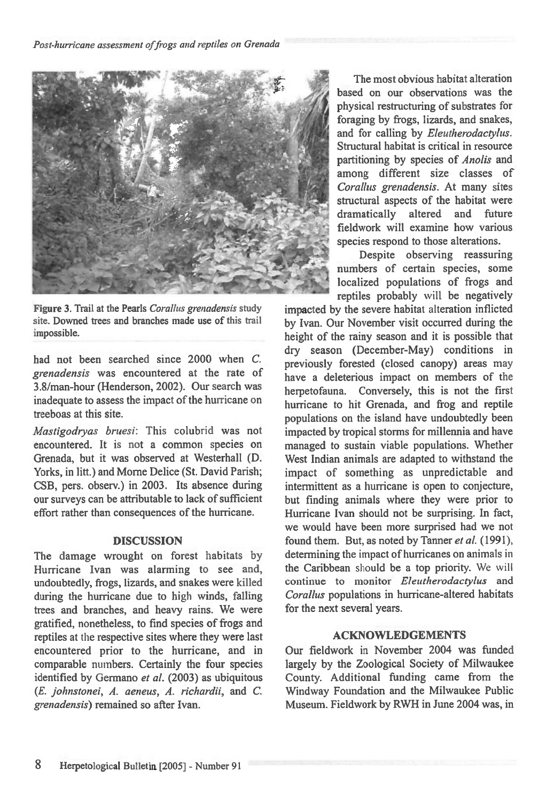

**Figure 3. Trail at the Pearls** *Corallus grenadensis* **study site. Downed trees and branches made use of this trail impossible.** 

had not been searched since 2000 when *C. grenadensis* was encountered at the rate of 3.8/man-hour (Henderson, 2002). Our search was inadequate to assess the impact of the hurricane on treeboas at this site.

*Mastigodryas bruesi:* This colubrid was not encountered. It is not a common species on Grenada, but it was observed at Westerhall (D. Yorks, in litt.) and Morne Delice (St. David Parish; CSB, pers. observ.) in 2003. Its absence during our surveys can be attributable to lack of sufficient effort rather than consequences of the hurricane.

## **DISCUSSION**

The damage wrought on forest habitats by Hurricane Ivan was alarming to see and, undoubtedly, frogs, lizards, and snakes were killed during the hurricane due to high winds, falling trees and branches, and heavy rains. We were gratified, nonetheless, to find species of frogs and reptiles *at* the respective sites where they were last encountered prior to the hurricane, and in comparable numbers. Certainly the four species identified by Germano et al. (2003) as ubiquitous *(E. johnstonei, A. aeneus, A. richardii,* and *C. grenadensis)* remained so after Ivan.

The most obvious habitat alteration based on our observations was the physical restructuring of substrates for foraging by frogs, lizards, and snakes, and for calling by *Eleutherodactylus.*  Structural habitat is critical in resource partitioning by species of *Anolis* and among different size classes of *Corallus grenadensis.* At many sites structural aspects of the habitat were dramatically altered and future fieldwork will examine how various species respond to those alterations.

Despite observing reassuring numbers of certain species, some localized populations of frogs and reptiles probably will be negatively

impacted by the severe habitat alteration inflicted by Ivan. Our November visit occurred during the height of the rainy season and it is possible that dry season (December-May) conditions in previously forested (closed canopy) areas may have a deleterious impact on members of the herpetofauna. Conversely, this is not the first hurricane to hit Grenada, and frog and reptile populations on the island have undoubtedly been impacted by tropical storms for millennia and have managed to sustain viable populations. Whether West Indian animals are adapted to withstand the impact of something as unpredictable and intermittent as a hurricane is open to conjecture, but finding animals where they were prior to Hurricane Ivan should not be surprising. In fact, we would have been more surprised had we not found them. But, as noted by Tanner *et al.* (1991), determining the impact of hurricanes on animals in the Caribbean should be a top priority. We will continue to monitor *Eleutherodactylus* and *Corallus* populations in hurricane-altered habitats for the next several years.

## ACKNOWLEDGEMENTS

Our fieldwork in November 2004 was funded largely by the Zoological Society of Milwaukee County. Additional funding came from the Windway Foundation and the Milwaukee Public Museum. Fieldwork by RWH in June 2004 was, in